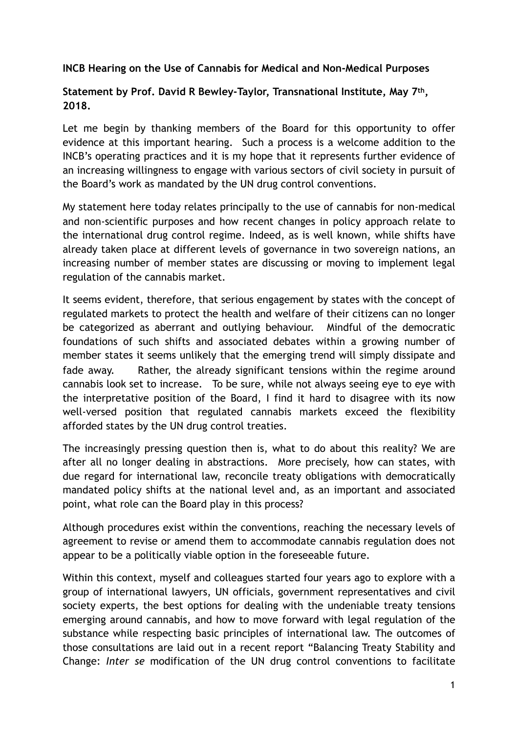## **INCB Hearing on the Use of Cannabis for Medical and Non-Medical Purposes**

## **Statement by Prof. David R Bewley-Taylor, Transnational Institute, May 7th, 2018.**

Let me begin by thanking members of the Board for this opportunity to offer evidence at this important hearing. Such a process is a welcome addition to the INCB's operating practices and it is my hope that it represents further evidence of an increasing willingness to engage with various sectors of civil society in pursuit of the Board's work as mandated by the UN drug control conventions.

My statement here today relates principally to the use of cannabis for non-medical and non-scientific purposes and how recent changes in policy approach relate to the international drug control regime. Indeed, as is well known, while shifts have already taken place at different levels of governance in two sovereign nations, an increasing number of member states are discussing or moving to implement legal regulation of the cannabis market.

It seems evident, therefore, that serious engagement by states with the concept of regulated markets to protect the health and welfare of their citizens can no longer be categorized as aberrant and outlying behaviour. Mindful of the democratic foundations of such shifts and associated debates within a growing number of member states it seems unlikely that the emerging trend will simply dissipate and fade away. Rather, the already significant tensions within the regime around cannabis look set to increase. To be sure, while not always seeing eye to eye with the interpretative position of the Board, I find it hard to disagree with its now well-versed position that regulated cannabis markets exceed the flexibility afforded states by the UN drug control treaties.

The increasingly pressing question then is, what to do about this reality? We are after all no longer dealing in abstractions. More precisely, how can states, with due regard for international law, reconcile treaty obligations with democratically mandated policy shifts at the national level and, as an important and associated point, what role can the Board play in this process?

Although procedures exist within the conventions, reaching the necessary levels of agreement to revise or amend them to accommodate cannabis regulation does not appear to be a politically viable option in the foreseeable future.

Within this context, myself and colleagues started four years ago to explore with a group of international lawyers, UN officials, government representatives and civil society experts, the best options for dealing with the undeniable treaty tensions emerging around cannabis, and how to move forward with legal regulation of the substance while respecting basic principles of international law. The outcomes of those consultations are laid out in a recent report "Balancing Treaty Stability and Change: *Inter se* modification of the UN drug control conventions to facilitate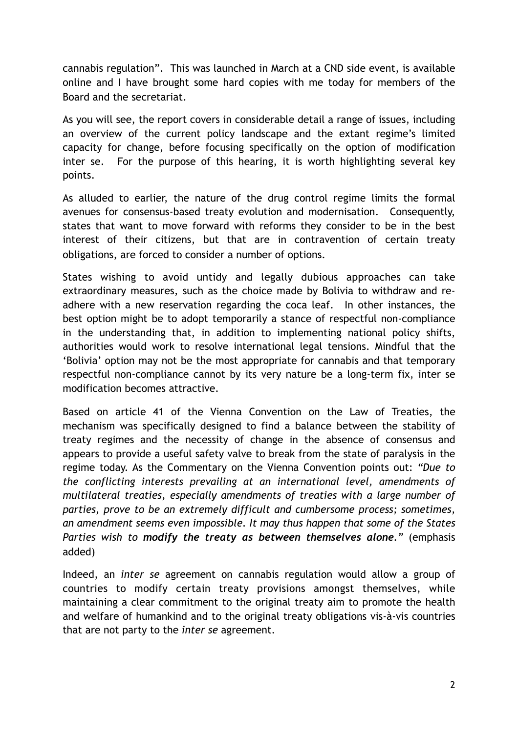cannabis regulation". This was launched in March at a CND side event, is available online and I have brought some hard copies with me today for members of the Board and the secretariat.

As you will see, the report covers in considerable detail a range of issues, including an overview of the current policy landscape and the extant regime's limited capacity for change, before focusing specifically on the option of modification inter se. For the purpose of this hearing, it is worth highlighting several key points.

As alluded to earlier, the nature of the drug control regime limits the formal avenues for consensus-based treaty evolution and modernisation. Consequently, states that want to move forward with reforms they consider to be in the best interest of their citizens, but that are in contravention of certain treaty obligations, are forced to consider a number of options.

States wishing to avoid untidy and legally dubious approaches can take extraordinary measures, such as the choice made by Bolivia to withdraw and readhere with a new reservation regarding the coca leaf. In other instances, the best option might be to adopt temporarily a stance of respectful non-compliance in the understanding that, in addition to implementing national policy shifts, authorities would work to resolve international legal tensions. Mindful that the 'Bolivia' option may not be the most appropriate for cannabis and that temporary respectful non-compliance cannot by its very nature be a long-term fix, inter se modification becomes attractive.

Based on article 41 of the Vienna Convention on the Law of Treaties, the mechanism was specifically designed to find a balance between the stability of treaty regimes and the necessity of change in the absence of consensus and appears to provide a useful safety valve to break from the state of paralysis in the regime today. As the Commentary on the Vienna Convention points out: *"Due to the conflicting interests prevailing at an international level, amendments of multilateral treaties, especially amendments of treaties with a large number of parties, prove to be an extremely difficult and cumbersome process; sometimes, an amendment seems even impossible. It may thus happen that some of the States Parties wish to modify the treaty as between themselves alone."* (emphasis added)

Indeed, an *inter se* agreement on cannabis regulation would allow a group of countries to modify certain treaty provisions amongst themselves, while maintaining a clear commitment to the original treaty aim to promote the health and welfare of humankind and to the original treaty obligations vis-à-vis countries that are not party to the *inter se* agreement.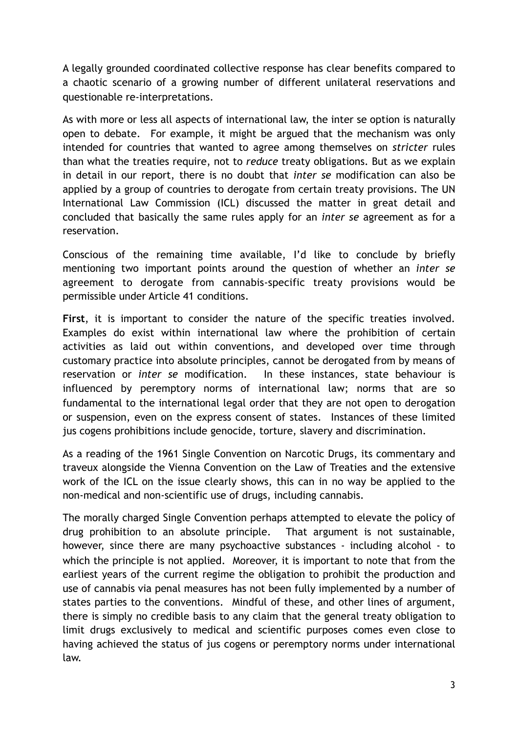A legally grounded coordinated collective response has clear benefits compared to a chaotic scenario of a growing number of different unilateral reservations and questionable re-interpretations.

As with more or less all aspects of international law, the inter se option is naturally open to debate. For example, it might be argued that the mechanism was only intended for countries that wanted to agree among themselves on *stricter* rules than what the treaties require, not to *reduce* treaty obligations. But as we explain in detail in our report, there is no doubt that *inter se* modification can also be applied by a group of countries to derogate from certain treaty provisions. The UN International Law Commission (ICL) discussed the matter in great detail and concluded that basically the same rules apply for an *inter se* agreement as for a reservation.

Conscious of the remaining time available, I'd like to conclude by briefly mentioning two important points around the question of whether an *inter se* agreement to derogate from cannabis-specific treaty provisions would be permissible under Article 41 conditions.

**First**, it is important to consider the nature of the specific treaties involved. Examples do exist within international law where the prohibition of certain activities as laid out within conventions, and developed over time through customary practice into absolute principles, cannot be derogated from by means of reservation or *inter se* modification. In these instances, state behaviour is influenced by peremptory norms of international law; norms that are so fundamental to the international legal order that they are not open to derogation or suspension, even on the express consent of states. Instances of these limited jus cogens prohibitions include genocide, torture, slavery and discrimination.

As a reading of the 1961 Single Convention on Narcotic Drugs, its commentary and traveux alongside the Vienna Convention on the Law of Treaties and the extensive work of the ICL on the issue clearly shows, this can in no way be applied to the non-medical and non-scientific use of drugs, including cannabis.

The morally charged Single Convention perhaps attempted to elevate the policy of drug prohibition to an absolute principle. That argument is not sustainable, however, since there are many psychoactive substances - including alcohol - to which the principle is not applied. Moreover, it is important to note that from the earliest years of the current regime the obligation to prohibit the production and use of cannabis via penal measures has not been fully implemented by a number of states parties to the conventions. Mindful of these, and other lines of argument, there is simply no credible basis to any claim that the general treaty obligation to limit drugs exclusively to medical and scientific purposes comes even close to having achieved the status of jus cogens or peremptory norms under international law.